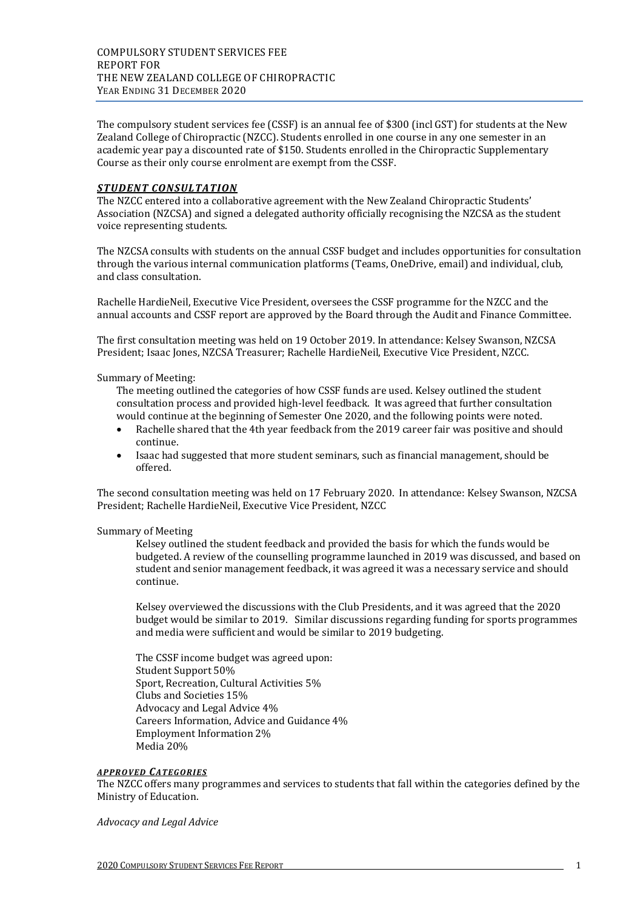The compulsory student services fee (CSSF) is an annual fee of \$300 (incl GST) for students at the New Zealand College of Chiropractic (NZCC). Students enrolled in one course in any one semester in an academic year pay a discounted rate of \$150. Students enrolled in the Chiropractic Supplementary Course as their only course enrolment are exempt from the CSSF.

#### *STUDENT CONSULTATION*

The NZCC entered into a collaborative agreement with the New Zealand Chiropractic Students' Association (NZCSA) and signed a delegated authority officially recognising the NZCSA as the student voice representing students.

The NZCSA consults with students on the annual CSSF budget and includes opportunities for consultation through the various internal communication platforms (Teams, OneDrive, email) and individual, club, and class consultation.

Rachelle HardieNeil, Executive Vice President, oversees the CSSF programme for the NZCC and the annual accounts and CSSF report are approved by the Board through the Audit and Finance Committee.

The first consultation meeting was held on 19 October 2019. In attendance: Kelsey Swanson, NZCSA President; Isaac Jones, NZCSA Treasurer; Rachelle HardieNeil, Executive Vice President, NZCC.

#### Summary of Meeting:

The meeting outlined the categories of how CSSF funds are used. Kelsey outlined the student consultation process and provided high-level feedback. It was agreed that further consultation would continue at the beginning of Semester One 2020, and the following points were noted.

- Rachelle shared that the 4th year feedback from the 2019 career fair was positive and should continue.
- Isaac had suggested that more student seminars, such as financial management, should be offered.

The second consultation meeting was held on 17 February 2020. In attendance: Kelsey Swanson, NZCSA President; Rachelle HardieNeil, Executive Vice President, NZCC

#### Summary of Meeting

Kelsey outlined the student feedback and provided the basis for which the funds would be budgeted. A review of the counselling programme launched in 2019 was discussed, and based on student and senior management feedback, it was agreed it was a necessary service and should continue.

Kelsey overviewed the discussions with the Club Presidents, and it was agreed that the 2020 budget would be similar to 2019. Similar discussions regarding funding for sports programmes and media were sufficient and would be similar to 2019 budgeting.

The CSSF income budget was agreed upon: Student Support 50% Sport, Recreation, Cultural Activities 5% Clubs and Societies 15% Advocacy and Legal Advice 4% Careers Information, Advice and Guidance 4% Employment Information 2% Media 20%

#### *APPROVED CATEGORIES*

The NZCC offers many programmes and services to students that fall within the categories defined by the Ministry of Education.

*Advocacy and Legal Advice*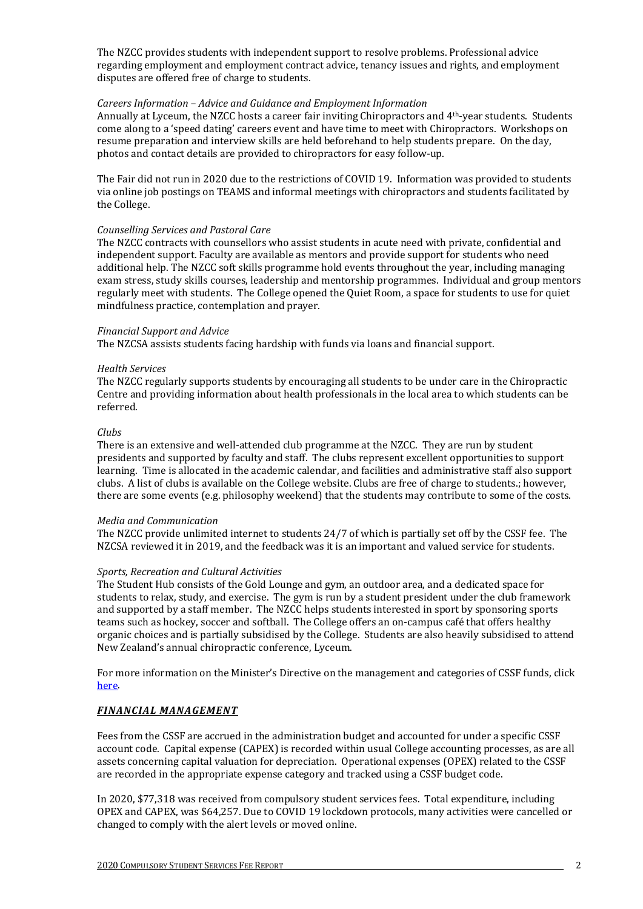The NZCC provides students with independent support to resolve problems. Professional advice regarding employment and employment contract advice, tenancy issues and rights, and employment disputes are offered free of charge to students.

## *Careers Information – Advice and Guidance and Employment Information*

Annually at Lyceum, the NZCC hosts a career fair inviting Chiropractors and 4th-year students. Students come along to a 'speed dating' careers event and have time to meet with Chiropractors. Workshops on resume preparation and interview skills are held beforehand to help students prepare. On the day, photos and contact details are provided to chiropractors for easy follow-up.

The Fair did not run in 2020 due to the restrictions of COVID 19. Information was provided to students via online job postings on TEAMS and informal meetings with chiropractors and students facilitated by the College.

# *Counselling Services and Pastoral Care*

The NZCC contracts with counsellors who assist students in acute need with private, confidential and independent support. Faculty are available as mentors and provide support for students who need additional help. The NZCC soft skills programme hold events throughout the year, including managing exam stress, study skills courses, leadership and mentorship programmes. Individual and group mentors regularly meet with students. The College opened the Quiet Room, a space for students to use for quiet mindfulness practice, contemplation and prayer.

# *Financial Support and Advice*

The NZCSA assists students facing hardship with funds via loans and financial support.

## *Health Services*

The NZCC regularly supports students by encouraging all students to be under care in the Chiropractic Centre and providing information about health professionals in the local area to which students can be referred.

# *Clubs*

There is an extensive and well-attended club programme at the NZCC. They are run by student presidents and supported by faculty and staff. The clubs represent excellent opportunities to support learning. Time is allocated in the academic calendar, and facilities and administrative staff also support clubs. A list of clubs is available on the College website. Clubs are free of charge to students.; however, there are some events (e.g. philosophy weekend) that the students may contribute to some of the costs.

## *Media and Communication*

The NZCC provide unlimited internet to students 24/7 of which is partially set off by the CSSF fee. The NZCSA reviewed it in 2019, and the feedback was it is an important and valued service for students.

## *Sports, Recreation and Cultural Activities*

The Student Hub consists of the Gold Lounge and gym, an outdoor area, and a dedicated space for students to relax, study, and exercise. The gym is run by a student president under the club framework and supported by a staff member. The NZCC helps students interested in sport by sponsoring sports teams such as hockey, soccer and softball. The College offers an on-campus café that offers healthy organic choices and is partially subsidised by the College. Students are also heavily subsidised to attend New Zealand's annual chiropractic conference, Lyceum.

For more information on the Minister's Directive on the management and categories of CSSF funds, clic[k](https://tec.govt.nz/assets/Funding-mechanisms/472970c33d/CSSF-ministerial-direction-2019.pdf) [here.](https://tec.govt.nz/assets/Funding-mechanisms/472970c33d/CSSF-ministerial-direction-2019.pdf) 

# *FINANCIAL MANAGEMENT*

Fees from the CSSF are accrued in the administration budget and accounted for under a specific CSSF account code. Capital expense (CAPEX) is recorded within usual College accounting processes, as are all assets concerning capital valuation for depreciation. Operational expenses (OPEX) related to the CSSF are recorded in the appropriate expense category and tracked using a CSSF budget code.

In 2020, \$77,318 was received from compulsory student services fees. Total expenditure, including OPEX and CAPEX, was \$64,257. Due to COVID 19 lockdown protocols, many activities were cancelled or changed to comply with the alert levels or moved online.